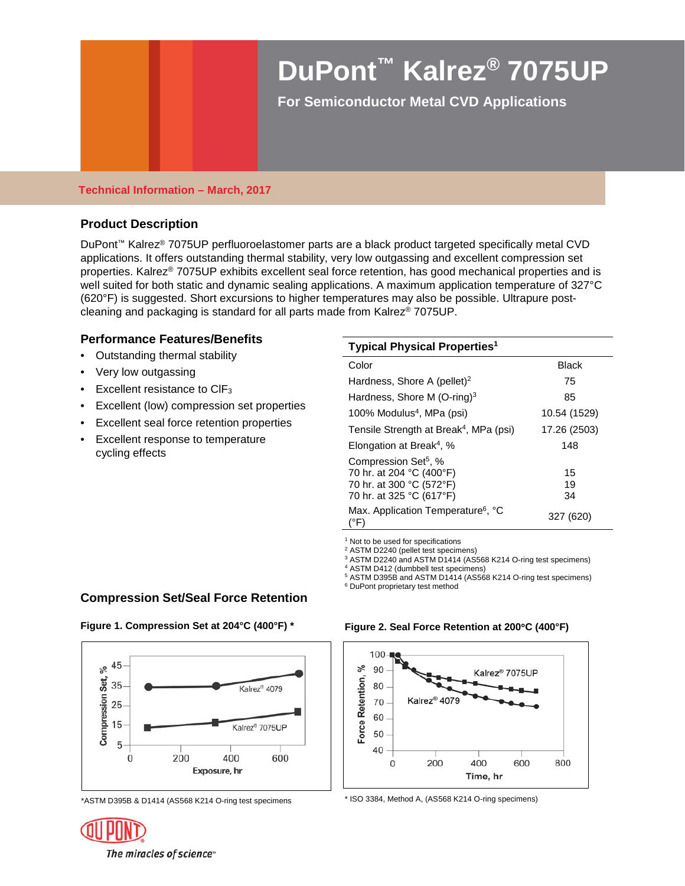# **DuPont™ Kalrez® 7075UP**

**For Semiconductor Metal CVD Applications** 

#### **Technical Information – March, 2017**

### **Product Description**

DuPont™ Kalrez® 7075UP perfluoroelastomer parts are a black product targeted specifically metal CVD applications. It offers outstanding thermal stability, very low outgassing and excellent compression set properties. Kalrez® 7075UP exhibits excellent seal force retention, has good mechanical properties and is well suited for both static and dynamic sealing applications. A maximum application temperature of 327°C (620°F) is suggested. Short excursions to higher temperatures may also be possible. Ultrapure postcleaning and packaging is standard for all parts made from Kalrez® 7075UP.

### **Performance Features/Benefits**

- Outstanding thermal stability
- Very low outgassing
- Excellent resistance to CIF<sub>3</sub>
- Excellent (low) compression set properties
- Excellent seal force retention properties
- Excellent response to temperature cycling effects

|  | Typical Physical Properties $^{\rm 1}$ |  |
|--|----------------------------------------|--|
|  |                                        |  |

| Color                                                                                                                | Black          |
|----------------------------------------------------------------------------------------------------------------------|----------------|
| Hardness, Shore A (pellet) <sup>2</sup>                                                                              | 75             |
| Hardness, Shore M $(O\text{-ring})^3$                                                                                | 85             |
| 100% Modulus <sup>4</sup> , MPa (psi)                                                                                | 10.54 (1529)   |
| Tensile Strength at Break <sup>4</sup> , MPa (psi)                                                                   | 17.26 (2503)   |
| Elongation at Break <sup>4</sup> , %                                                                                 | 148            |
| Compression Set <sup>5</sup> , %<br>70 hr. at 204 °C (400°F)<br>70 hr. at 300 °C (572°F)<br>70 hr. at 325 °C (617°F) | 15<br>19<br>34 |
| Max. Application Temperature <sup>6</sup> , °C<br>(°F)                                                               | 327 (620)      |

<sup>1</sup> Not to be used for specifications

<sup>2</sup> ASTM D2240 (pellet test specimens)

<sup>3</sup> ASTM D2240 and ASTM D1414 (AS568 K214 O-ring test specimens)<br><sup>4</sup> ASTM D412 (dumbbell test specimens)

<sup>4</sup> ASTM D412 (dumbbell test specimens)<br><sup>5</sup> ASTM D395B and ASTM D1414 (AS568 K214 O-ring test specimens) <sup>6</sup> DuPont proprietary test method

## **Compression Set/Seal Force Retention**

**Figure 1. Compression Set at 204°C (400°F) \***







\*ASTM D395B & D1414 (AS568 K214 O-ring test specimens \* ISO 3384, Method A, (AS568 K214 O-ring specimens)

The miracles of science<sup>®</sup>